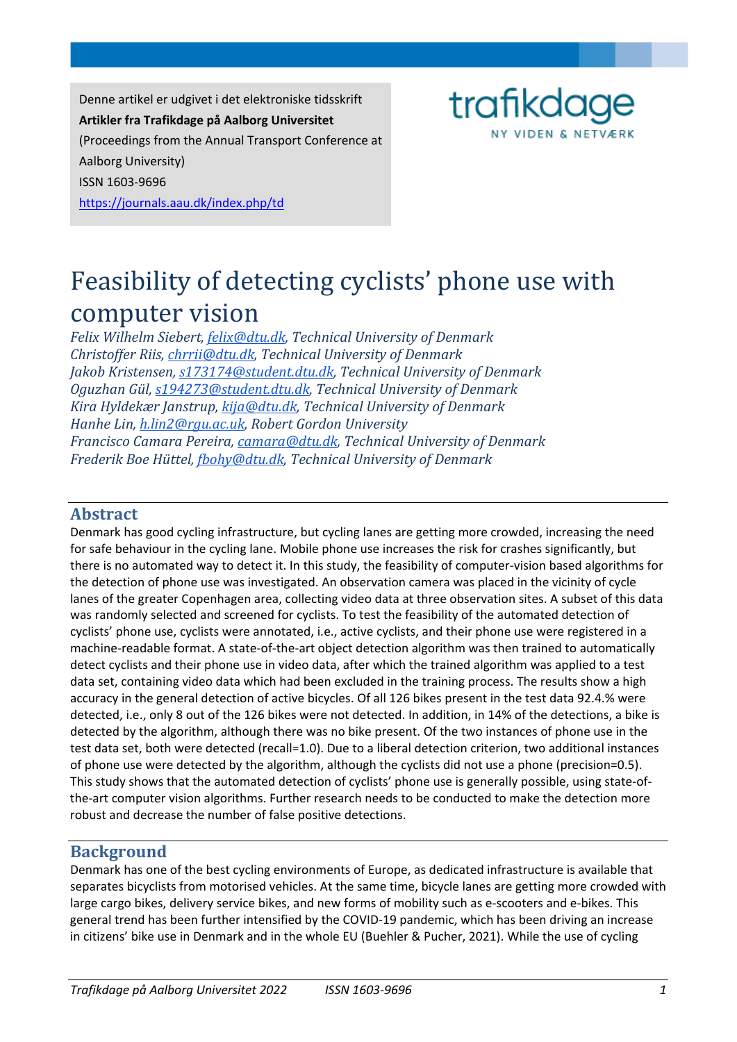Denne artikel er udgivet i det elektroniske tidsskrift **Artikler fra Trafikdage på Aalborg Universitet** (Proceedings from the Annual Transport Conference at Aalborg University) ISSN 1603-9696 https://journals.aau.dk/index.php/td



# Feasibility of detecting cyclists' phone use with computer vision

*Felix Wilhelm Siebert, [felix@dtu.dk,](mailto:felix@dtu.dk) Technical University of Denmark Christoffer Riis[, chrrii@dtu.dk,](mailto:chrrii@dtu.dk) Technical University of Denmark Jakob Kristensen, [s173174@student.dtu.dk,](mailto:s173174@student.dtu.dk) Technical University of Denmark Oguzhan Gül, [s194273@student.dtu.dk,](mailto:s194273@student.dtu.dk) Technical University of Denmark Kira Hyldekær Janstrup, [kija@dtu.dk,](mailto:kija@dtu.dk) Technical University of Denmark Hanhe Lin, [h.lin2@rgu.ac.uk,](mailto:h.lin2@rgu.ac.uk) Robert Gordon University Francisco Camara Pereira, [camara@dtu.dk,](mailto:camara@dtu.dk) Technical University of Denmark Frederik Boe Hüttel[, fbohy@dtu.dk,](mailto:fbohy@dtu.dk) Technical University of Denmark*

#### **Abstract**

Denmark has good cycling infrastructure, but cycling lanes are getting more crowded, increasing the need for safe behaviour in the cycling lane. Mobile phone use increases the risk for crashes significantly, but there is no automated way to detect it. In this study, the feasibility of computer-vision based algorithms for the detection of phone use was investigated. An observation camera was placed in the vicinity of cycle lanes of the greater Copenhagen area, collecting video data at three observation sites. A subset of this data was randomly selected and screened for cyclists. To test the feasibility of the automated detection of cyclists' phone use, cyclists were annotated, i.e., active cyclists, and their phone use were registered in a machine-readable format. A state-of-the-art object detection algorithm was then trained to automatically detect cyclists and their phone use in video data, after which the trained algorithm was applied to a test data set, containing video data which had been excluded in the training process. The results show a high accuracy in the general detection of active bicycles. Of all 126 bikes present in the test data 92.4.% were detected, i.e., only 8 out of the 126 bikes were not detected. In addition, in 14% of the detections, a bike is detected by the algorithm, although there was no bike present. Of the two instances of phone use in the test data set, both were detected (recall=1.0). Due to a liberal detection criterion, two additional instances of phone use were detected by the algorithm, although the cyclists did not use a phone (precision=0.5). This study shows that the automated detection of cyclists' phone use is generally possible, using state-ofthe-art computer vision algorithms. Further research needs to be conducted to make the detection more robust and decrease the number of false positive detections.

## **Background**

Denmark has one of the best cycling environments of Europe, as dedicated infrastructure is available that separates bicyclists from motorised vehicles. At the same time, bicycle lanes are getting more crowded with large cargo bikes, delivery service bikes, and new forms of mobility such as e-scooters and e-bikes. This general trend has been further intensified by the COVID-19 pandemic, which has been driving an increase in citizens' bike use in Denmark and in the whole EU (Buehler & Pucher, 2021). While the use of cycling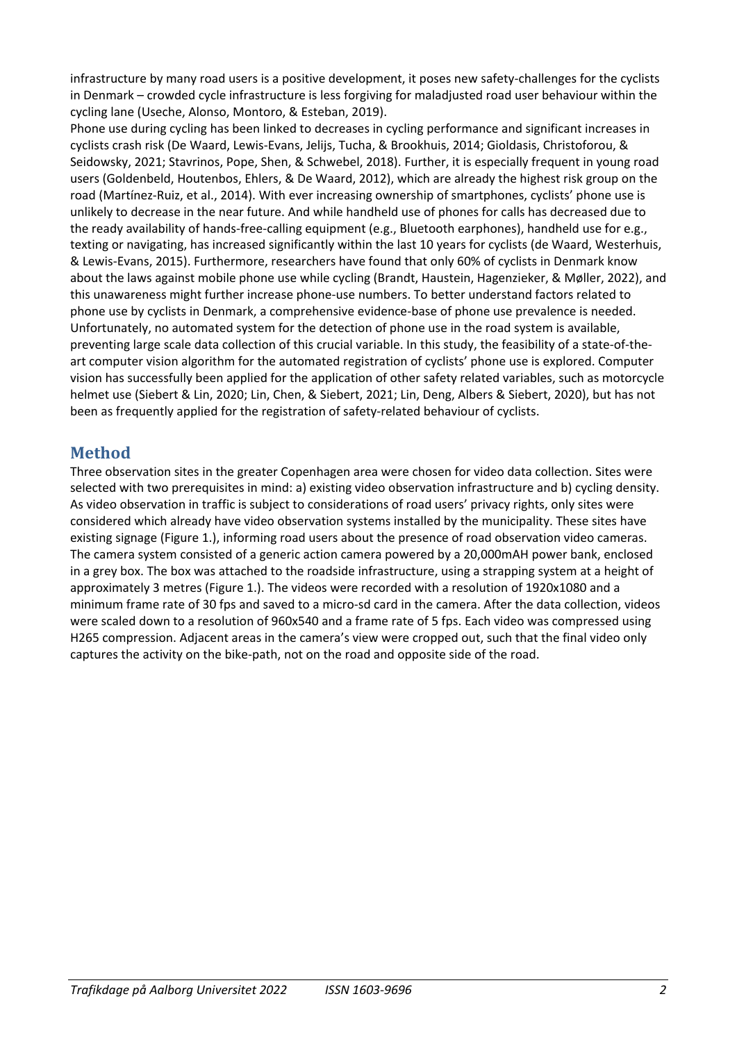infrastructure by many road users is a positive development, it poses new safety-challenges for the cyclists in Denmark – crowded cycle infrastructure is less forgiving for maladjusted road user behaviour within the cycling lane (Useche, Alonso, Montoro, & Esteban, 2019).

Phone use during cycling has been linked to decreases in cycling performance and significant increases in cyclists crash risk (De Waard, Lewis-Evans, Jelijs, Tucha, & Brookhuis, 2014; Gioldasis, Christoforou, & Seidowsky, 2021; Stavrinos, Pope, Shen, & Schwebel, 2018). Further, it is especially frequent in young road users (Goldenbeld, Houtenbos, Ehlers, & De Waard, 2012), which are already the highest risk group on the road (Martínez-Ruiz, et al., 2014). With ever increasing ownership of smartphones, cyclists' phone use is unlikely to decrease in the near future. And while handheld use of phones for calls has decreased due to the ready availability of hands-free-calling equipment (e.g., Bluetooth earphones), handheld use for e.g., texting or navigating, has increased significantly within the last 10 years for cyclists (de Waard, Westerhuis, & Lewis-Evans, 2015). Furthermore, researchers have found that only 60% of cyclists in Denmark know about the laws against mobile phone use while cycling (Brandt, Haustein, Hagenzieker, & Møller, 2022), and this unawareness might further increase phone-use numbers. To better understand factors related to phone use by cyclists in Denmark, a comprehensive evidence-base of phone use prevalence is needed. Unfortunately, no automated system for the detection of phone use in the road system is available, preventing large scale data collection of this crucial variable. In this study, the feasibility of a state-of-theart computer vision algorithm for the automated registration of cyclists' phone use is explored. Computer vision has successfully been applied for the application of other safety related variables, such as motorcycle helmet use (Siebert & Lin, 2020; Lin, Chen, & Siebert, 2021; Lin, Deng, Albers & Siebert, 2020), but has not been as frequently applied for the registration of safety-related behaviour of cyclists.

## **Method**

Three observation sites in the greater Copenhagen area were chosen for video data collection. Sites were selected with two prerequisites in mind: a) existing video observation infrastructure and b) cycling density. As video observation in traffic is subject to considerations of road users' privacy rights, only sites were considered which already have video observation systems installed by the municipality. These sites have existing signage (Figure 1.), informing road users about the presence of road observation video cameras. The camera system consisted of a generic action camera powered by a 20,000mAH power bank, enclosed in a grey box. The box was attached to the roadside infrastructure, using a strapping system at a height of approximately 3 metres (Figure 1.). The videos were recorded with a resolution of 1920x1080 and a minimum frame rate of 30 fps and saved to a micro-sd card in the camera. After the data collection, videos were scaled down to a resolution of 960x540 and a frame rate of 5 fps. Each video was compressed using H265 compression. Adjacent areas in the camera's view were cropped out, such that the final video only captures the activity on the bike-path, not on the road and opposite side of the road.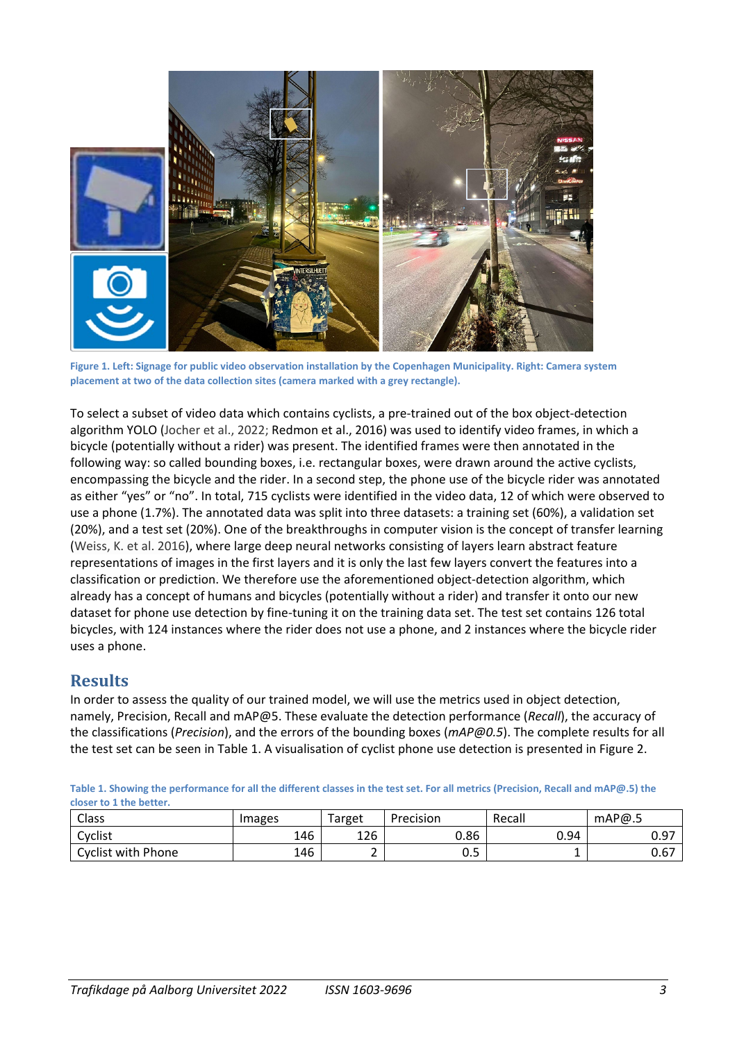

**Figure 1. Left: Signage for public video observation installation by the Copenhagen Municipality. Right: Camera system placement at two of the data collection sites (camera marked with a grey rectangle).** 

To select a subset of video data which contains cyclists, a pre-trained out of the box object-detection algorithm YOLO (Jocher et al., 2022; Redmon et al., 2016) was used to identify video frames, in which a bicycle (potentially without a rider) was present. The identified frames were then annotated in the following way: so called bounding boxes, i.e. rectangular boxes, were drawn around the active cyclists, encompassing the bicycle and the rider. In a second step, the phone use of the bicycle rider was annotated as either "yes" or "no". In total, 715 cyclists were identified in the video data, 12 of which were observed to use a phone (1.7%). The annotated data was split into three datasets: a training set (60%), a validation set (20%), and a test set (20%). One of the breakthroughs in computer vision is the concept of transfer learning (Weiss, K. et al. 2016), where large deep neural networks consisting of layers learn abstract feature representations of images in the first layers and it is only the last few layers convert the features into a classification or prediction. We therefore use the aforementioned object-detection algorithm, which already has a concept of humans and bicycles (potentially without a rider) and transfer it onto our new dataset for phone use detection by fine-tuning it on the training data set. The test set contains 126 total bicycles, with 124 instances where the rider does not use a phone, and 2 instances where the bicycle rider uses a phone.

## **Results**

In order to assess the quality of our trained model, we will use the metrics used in object detection, namely, Precision, Recall and mAP@5. These evaluate the detection performance (*Recall*), the accuracy of the classifications (*Precision*), and the errors of the bounding boxes (*mAP@0.5*). The complete results for all the test set can be seen in Table 1. A visualisation of cyclist phone use detection is presented in Figure 2.

**Table 1. Showing the performance for all the different classes in the test set. For all metrics (Precision, Recall and mAP@.5) the closer to 1 the better.**

| Class                     | Images | Target | Precision | Recall | mAP@.5 |
|---------------------------|--------|--------|-----------|--------|--------|
| Cyclist                   | 146    | 126    | 0.86      | 0.94   | 0.97   |
| <b>Cyclist with Phone</b> | 146    |        | ∪.J       | -      | 0.67   |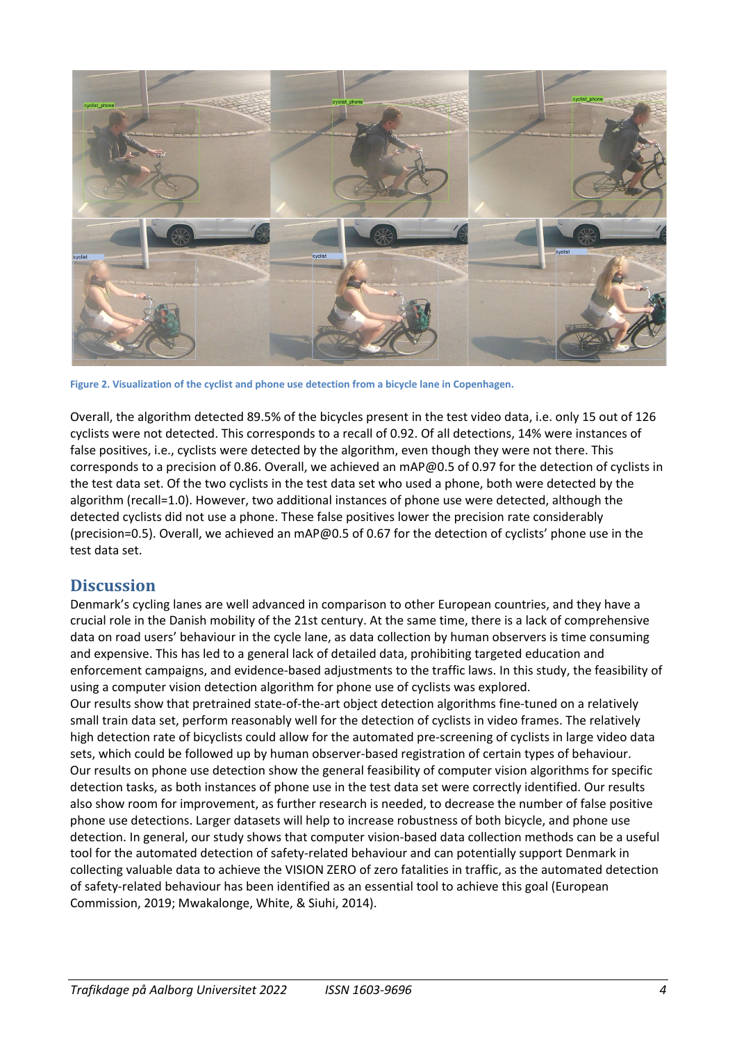

**Figure 2. Visualization of the cyclist and phone use detection from a bicycle lane in Copenhagen.**

Overall, the algorithm detected 89.5% of the bicycles present in the test video data, i.e. only 15 out of 126 cyclists were not detected. This corresponds to a recall of 0.92. Of all detections, 14% were instances of false positives, i.e., cyclists were detected by the algorithm, even though they were not there. This corresponds to a precision of 0.86. Overall, we achieved an mAP@0.5 of 0.97 for the detection of cyclists in the test data set. Of the two cyclists in the test data set who used a phone, both were detected by the algorithm (recall=1.0). However, two additional instances of phone use were detected, although the detected cyclists did not use a phone. These false positives lower the precision rate considerably (precision=0.5). Overall, we achieved an mAP@0.5 of 0.67 for the detection of cyclists' phone use in the test data set.

## **Discussion**

Denmark's cycling lanes are well advanced in comparison to other European countries, and they have a crucial role in the Danish mobility of the 21st century. At the same time, there is a lack of comprehensive data on road users' behaviour in the cycle lane, as data collection by human observers is time consuming and expensive. This has led to a general lack of detailed data, prohibiting targeted education and enforcement campaigns, and evidence-based adjustments to the traffic laws. In this study, the feasibility of using a computer vision detection algorithm for phone use of cyclists was explored.

Our results show that pretrained state-of-the-art object detection algorithms fine-tuned on a relatively small train data set, perform reasonably well for the detection of cyclists in video frames. The relatively high detection rate of bicyclists could allow for the automated pre-screening of cyclists in large video data sets, which could be followed up by human observer-based registration of certain types of behaviour. Our results on phone use detection show the general feasibility of computer vision algorithms for specific detection tasks, as both instances of phone use in the test data set were correctly identified. Our results also show room for improvement, as further research is needed, to decrease the number of false positive phone use detections. Larger datasets will help to increase robustness of both bicycle, and phone use detection. In general, our study shows that computer vision-based data collection methods can be a useful tool for the automated detection of safety-related behaviour and can potentially support Denmark in collecting valuable data to achieve the VISION ZERO of zero fatalities in traffic, as the automated detection of safety-related behaviour has been identified as an essential tool to achieve this goal (European Commission, 2019; Mwakalonge, White, & Siuhi, 2014).